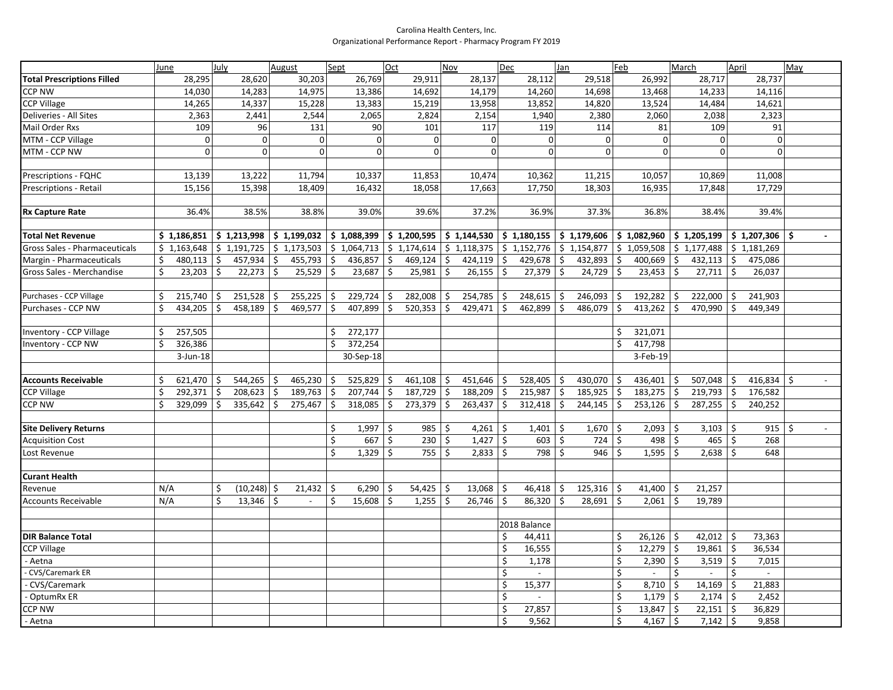## Carolina Health Centers, Inc. Organizational Performance Report - Pharmacy Program FY 2019

|                                   | June                 | July                           | August                                         | Sept                                                                                            | <b>Oct</b>           | Nov             | Dec                          | Jan                                                                                                                                                                       | Feb                  | March                | April                         | May                       |
|-----------------------------------|----------------------|--------------------------------|------------------------------------------------|-------------------------------------------------------------------------------------------------|----------------------|-----------------|------------------------------|---------------------------------------------------------------------------------------------------------------------------------------------------------------------------|----------------------|----------------------|-------------------------------|---------------------------|
| <b>Total Prescriptions Filled</b> | 28,295               | 28,620                         | 30,203                                         | 26,769                                                                                          | 29,911               | 28,137          | 28,112                       | 29,518                                                                                                                                                                    | 26,992               | 28,717               | 28,737                        |                           |
| CCP NW                            | 14,030               | 14,283                         | 14,975                                         | 13,386                                                                                          | 14,692               | 14,179          | 14,260                       | 14,698                                                                                                                                                                    | 13,468               | 14,233               | 14,116                        |                           |
| <b>CCP Village</b>                | 14,265               | 14,337                         | 15,228                                         | 13,383                                                                                          | 15,219               | 13,958          | 13,852                       | 14,820                                                                                                                                                                    | 13,524               | 14,484               | 14,621                        |                           |
| Deliveries - All Sites            | 2,363                | 2,441                          | 2,544                                          | 2,065                                                                                           | 2,824                | 2,154           | 1,940                        | 2,380                                                                                                                                                                     | 2,060                | 2,038                | 2,323                         |                           |
| Mail Order Rxs                    | 109                  | 96                             | 131                                            | 90                                                                                              | 101                  | 117             | 119                          | 114                                                                                                                                                                       | 81                   | 109                  | 91                            |                           |
| MTM - CCP Village                 | $\mathbf 0$          | $\overline{0}$                 | $\mathbf{0}$                                   | $\pmb{0}$                                                                                       | $\Omega$             | $\mathbf 0$     | $\mathbf 0$                  | $\overline{0}$                                                                                                                                                            | $\boldsymbol{0}$     | $\Omega$             | $\mathbf 0$                   |                           |
| MTM - CCP NW                      | $\Omega$             | $\Omega$                       | $\Omega$                                       | $\Omega$                                                                                        | $\Omega$             | $\Omega$        | $\Omega$                     | $\Omega$                                                                                                                                                                  | $\Omega$             | $\Omega$             | $\Omega$                      |                           |
|                                   |                      |                                |                                                |                                                                                                 |                      |                 |                              |                                                                                                                                                                           |                      |                      |                               |                           |
| Prescriptions - FQHC              | 13,139               | 13,222                         | 11,794                                         | 10,337                                                                                          | 11,853               | 10,474          | 10,362                       | 11,215                                                                                                                                                                    | 10,057               | 10,869               | 11,008                        |                           |
| Prescriptions - Retail            | 15,156               | 15,398                         | 18,409                                         | 16,432                                                                                          | 18,058               | 17,663          | 17,750                       | 18,303                                                                                                                                                                    | 16,935               | 17,848               | 17,729                        |                           |
|                                   |                      |                                |                                                |                                                                                                 |                      |                 |                              |                                                                                                                                                                           |                      |                      |                               |                           |
| <b>Rx Capture Rate</b>            | 36.4%                | 38.5%                          | 38.8%                                          | 39.0%                                                                                           | 39.6%                | 37.2%           | 36.9%                        | 37.3%                                                                                                                                                                     | 36.8%                | 38.4%                | 39.4%                         |                           |
|                                   |                      |                                |                                                |                                                                                                 |                      |                 |                              |                                                                                                                                                                           |                      |                      |                               |                           |
| <b>Total Net Revenue</b>          | \$1,186,851          | \$1,213,998                    |                                                |                                                                                                 |                      |                 |                              | $ \xi $ 1,199,032 $ \xi $ 1,088,399 $ \xi $ 1,200,595 $ \xi $ 1,144,530 $ \xi $ 1,180,155 $ \xi $ 1,179,606 $ \xi $ 1,082,960 $ \xi $ 1,205,199 $ \xi $ 1,207,306 $ \xi $ |                      |                      |                               |                           |
| Gross Sales - Pharmaceuticals     | \$1,163,648          | \$1,191,725                    |                                                | $\frac{1}{5}$ 1,173,503 $\frac{1}{5}$ 1,064,713 $\frac{1}{5}$ 1,174,614 $\frac{1}{5}$ 1,118,375 |                      |                 |                              | $\frac{1}{2}$ 1,152,776 $\frac{1}{2}$ 1,154,877 $\frac{1}{2}$ 1,059,508 $\frac{1}{2}$ 1,177,488 $\frac{1}{2}$ 1,181,269                                                   |                      |                      |                               |                           |
| Margin - Pharmaceuticals          | 480,113<br>\$        | $\ddot{\mathsf{S}}$<br>457,934 | $\mathsf{S}$<br>$455,793$ \$                   | $436,857$ \$                                                                                    | $469,124$ \$         | 424,119         | $\frac{1}{2}$<br>429,678     | \$<br>$432,893$ \$                                                                                                                                                        | $400,669$ \$         | $432,113$ \$         | 475,086                       |                           |
| Gross Sales - Merchandise         | Ś.<br>23,203         | \$<br>22,273                   | $\ddot{\varsigma}$<br>$25,529$ \$              | 23,687                                                                                          | \$<br>25,981         | -\$<br>26,155   | $\ddot{\varsigma}$<br>27,379 | $\ddot{\mathsf{S}}$<br>$24,729$ \$                                                                                                                                        | 23,453               | \$<br>27,711         | $\ddot{\mathsf{S}}$<br>26,037 |                           |
|                                   |                      |                                |                                                |                                                                                                 |                      |                 |                              |                                                                                                                                                                           |                      |                      |                               |                           |
| Purchases - CCP Village           | 215,740<br>Ŝ         | 251,528<br>\$                  | \$<br>$255,225$ \$                             | 229,724                                                                                         | $282,008$ \$<br>\$   | 254,785         | 248,615<br>\$                | \$<br>$246,093$ \$                                                                                                                                                        | $192,282$ \$         | 222,000              | 241,903<br>l \$               |                           |
| Purchases - CCP NW                | 434,205              | \$<br>458,189                  | $\overline{\mathfrak{s}}$<br>469,577 \$        | 407,899                                                                                         | \$<br>520,353        | 429,471<br>  \$ | \$<br>462,899                | \$<br>486,079                                                                                                                                                             | \$<br>413,262   \$   | 470,990              | 449,349<br>-\$                |                           |
| Inventory - CCP Village           | Ś.<br>257,505        |                                |                                                | Ŝ.<br>272,177                                                                                   |                      |                 |                              |                                                                                                                                                                           | Ŝ.<br>321,071        |                      |                               |                           |
| Inventory - CCP NW                | 326,386              |                                |                                                | \$<br>372,254                                                                                   |                      |                 |                              |                                                                                                                                                                           | \$<br>417,798        |                      |                               |                           |
|                                   | $3$ -Jun-18          |                                |                                                | 30-Sep-18                                                                                       |                      |                 |                              |                                                                                                                                                                           | 3-Feb-19             |                      |                               |                           |
|                                   |                      |                                |                                                |                                                                                                 |                      |                 |                              |                                                                                                                                                                           |                      |                      |                               |                           |
| <b>Accounts Receivable</b>        | $621,470$   \$<br>\$ | $544,265$ \$                   | 465,230 \$                                     | 525,829                                                                                         | \$<br>$461,108$   \$ | 451,646         | \$<br>528,405                | \$<br>430,070 $\vert$ \$                                                                                                                                                  | 436,401              | \$<br>$507,048$   \$ | 416,834 $\vert$ \$            |                           |
| <b>CCP Village</b>                | Ś<br>292,371         | \$<br>208,623                  | $\overline{\phantom{a}}$<br>$189,763$ \$       | $207,744$ \$                                                                                    | $187,729$ \$         | 188,209         | \$<br>215,987                | \$<br>$185,925$ \$                                                                                                                                                        | $183,275$ \$         | 219,793              | 176,582<br>5                  |                           |
| CCP NW                            | Ś.<br>329,099        | \$<br>335,642                  | l \$<br>$275,467$ \$                           | $318,085$ \$                                                                                    | $273,379$ \$         | 263,437         | \$<br>312,418                | \$<br>$244,145$ \$                                                                                                                                                        | $253,126$ \$         | $287,255$ \$         | 240,252                       |                           |
|                                   |                      |                                |                                                |                                                                                                 |                      |                 |                              |                                                                                                                                                                           |                      |                      |                               |                           |
| <b>Site Delivery Returns</b>      |                      |                                |                                                | \$<br>$1,997$   \$                                                                              | $985$ \$             | 4,261           | \$<br>1,401                  | \$<br>$1,670$ \$                                                                                                                                                          | $2,093$   \$         | $3,103$   \$         | $915$ \$                      | $\mathbb{Z}^{\mathbb{Z}}$ |
| <b>Acquisition Cost</b>           |                      |                                |                                                | \$<br>667                                                                                       | \$<br>230            | \$<br>1,427     | \$<br>603                    | \$<br>$724$ \$                                                                                                                                                            | 498                  | $\zeta$<br>465       | $\zeta$<br>268                |                           |
| Lost Revenue                      |                      |                                |                                                | \$<br>$1,329$   \$                                                                              | $755$   \$           | 2,833           | \$<br>798                    | $\zeta$<br>$946$ \$                                                                                                                                                       | 1,595                | $2,638$   \$<br>\$   | 648                           |                           |
|                                   |                      |                                |                                                |                                                                                                 |                      |                 |                              |                                                                                                                                                                           |                      |                      |                               |                           |
| <b>Curant Health</b>              |                      |                                |                                                |                                                                                                 |                      |                 |                              |                                                                                                                                                                           |                      |                      |                               |                           |
| Revenue                           | N/A                  | \$<br>$(10, 248)$ \$           | $21,432$ \$                                    | 6,290                                                                                           | \$<br>$54,425$ \$    | 13,068          | \$<br>46,418                 | \$<br>$125,316$ \$                                                                                                                                                        | $41,400$   \$        | 21,257               |                               |                           |
| <b>Accounts Receivable</b>        | N/A                  | \$<br>13,346                   | $\dot{\mathsf{s}}$<br>$\overline{\phantom{a}}$ | \$<br>15,608                                                                                    | \$<br>1,255          | \$<br>26,746    | \$<br>86,320                 | $\zeta$<br>$28,691$ \$                                                                                                                                                    | 2,061                | \$<br>19,789         |                               |                           |
|                                   |                      |                                |                                                |                                                                                                 |                      |                 |                              |                                                                                                                                                                           |                      |                      |                               |                           |
|                                   |                      |                                |                                                |                                                                                                 |                      |                 | 2018 Balance                 |                                                                                                                                                                           |                      |                      |                               |                           |
| <b>DIR Balance Total</b>          |                      |                                |                                                |                                                                                                 |                      |                 | Ś<br>44,411                  |                                                                                                                                                                           | \$<br>$26,126$ \$    | $42,012$   \$        | 73,363                        |                           |
| <b>CCP Village</b>                |                      |                                |                                                |                                                                                                 |                      |                 | Ś<br>16,555                  |                                                                                                                                                                           | \$<br>$12,279$   \$  | $19,861$ \$          | 36,534                        |                           |
| - Aetna                           |                      |                                |                                                |                                                                                                 |                      |                 | \$<br>1,178                  |                                                                                                                                                                           | \$<br>2,390          | \$<br>3,519          | $\ddot{\mathsf{S}}$<br>7,015  |                           |
| <b>CVS/Caremark ER</b>            |                      |                                |                                                |                                                                                                 |                      |                 | \$                           |                                                                                                                                                                           | \$<br>$\overline{a}$ | \$                   | \$<br>$\mathbb{Z}^{\times}$   |                           |
| <b>CVS/Caremark</b>               |                      |                                |                                                |                                                                                                 |                      |                 | Ś<br>15,377                  |                                                                                                                                                                           | \$<br>8,710          | \$<br>14,169         | 21,883<br>۱\$                 |                           |
| OptumRx ER                        |                      |                                |                                                |                                                                                                 |                      |                 | \$                           |                                                                                                                                                                           | \$<br>$1,179$ \$     | 2,174                | \$<br>2,452                   |                           |
| CCP NW                            |                      |                                |                                                |                                                                                                 |                      |                 | \$<br>27,857                 |                                                                                                                                                                           | \$<br>13,847         | \$<br>22,151         | 5<br>36,829                   |                           |
| - Aetna                           |                      |                                |                                                |                                                                                                 |                      |                 | Ś<br>9,562                   |                                                                                                                                                                           | \$<br>$4,167$ \$     | $7,142$ \$           | 9,858                         |                           |